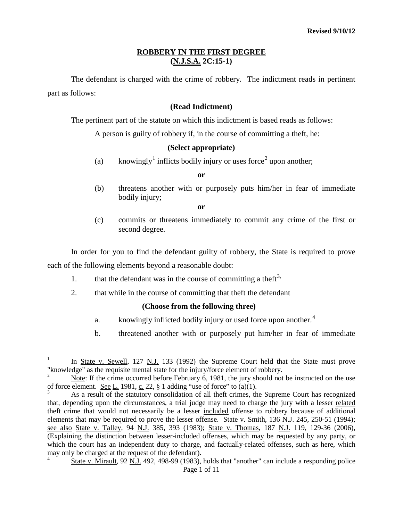The defendant is charged with the crime of robbery. The indictment reads in pertinent part as follows:

### **(Read Indictment)**

The pertinent part of the statute on which this indictment is based reads as follows:

A person is guilty of robbery if, in the course of committing a theft, he:

### **(Select appropriate)**

(a) knowingly<sup>[1](#page-5-0)</sup> inflicts bodily injury or uses force<sup>[2](#page-0-0)</sup> upon another;

**or**

(b) threatens another with or purposely puts him/her in fear of immediate bodily injury;

**or**

(c) commits or threatens immediately to commit any crime of the first or second degree.

In order for you to find the defendant guilty of robbery, the State is required to prove each of the following elements beyond a reasonable doubt:

- 1. that the defendant was in the course of committing a theft<sup>[3](#page-0-1),</sup>
- 2. that while in the course of committing that theft the defendant

## **(Choose from the following three)**

- a. knowingly inflicted bodily injury or used force upon another.<sup>[4](#page-0-2)</sup>
- b. threatened another with or purposely put him/her in fear of immediate

In State v. Sewell, 127 N.J. 133 (1992) the Supreme Court held that the State must prove "knowledge" as the requisite mental state for the injury/force element of robbery.

<span id="page-0-0"></span><sup>2</sup> Note: If the crime occurred before February 6, 1981, the jury should not be instructed on the use of force element. <u>See L.</u> 1981,  $\underline{c}$ , 22, § 1 adding "use of force" to (a)(1).

<span id="page-0-1"></span>As a result of the statutory consolidation of all theft crimes, the Supreme Court has recognized that, depending upon the circumstances, a trial judge may need to charge the jury with a lesser related theft crime that would not necessarily be a lesser included offense to robbery because of additional elements that may be required to prove the lesser offense. State v. Smith, 136 N.J. 245, 250-51 (1994); see also State v. Talley, 94 N.J. 385, 393 (1983); State v. Thomas, 187 N.J. 119, 129-36 (2006), (Explaining the distinction between lesser-included offenses, which may be requested by any party, or which the court has an independent duty to charge, and factually-related offenses, such as here, which may only be charged at the request of the defendant).

<span id="page-0-2"></span>Page 1 of 11 <sup>4</sup> State v. Mirault, 92 N.J. 492, 498-99 (1983), holds that "another" can include a responding police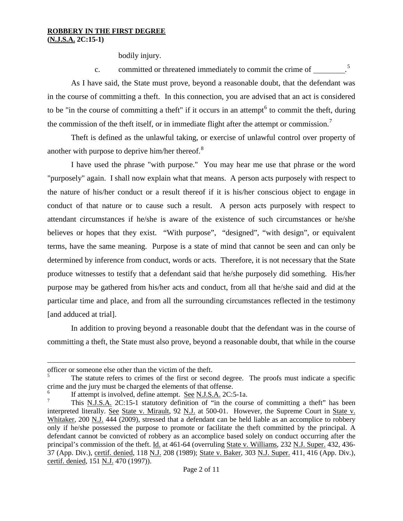bodily injury.

c. committed or threatened immediately to commit the crime of \_\_\_\_\_\_\_\_.<sup>[5](#page-0-0)</sup>

As I have said, the State must prove, beyond a reasonable doubt, that the defendant was in the course of committing a theft. In this connection, you are advised that an act is considered to be "in the course of committing a theft" if it occurs in an attempt<sup> $6$ </sup> to commit the theft, during the commission of the theft itself, or in immediate flight after the attempt or commission.<sup>[7](#page-1-1)</sup>

Theft is defined as the unlawful taking, or exercise of unlawful control over property of another with purpose to deprive him/her thereof.<sup>[8](#page-1-2)</sup>

I have used the phrase "with purpose." You may hear me use that phrase or the word "purposely" again. I shall now explain what that means. A person acts purposely with respect to the nature of his/her conduct or a result thereof if it is his/her conscious object to engage in conduct of that nature or to cause such a result. A person acts purposely with respect to attendant circumstances if he/she is aware of the existence of such circumstances or he/she believes or hopes that they exist. "With purpose", "designed", "with design", or equivalent terms, have the same meaning. Purpose is a state of mind that cannot be seen and can only be determined by inference from conduct, words or acts. Therefore, it is not necessary that the State produce witnesses to testify that a defendant said that he/she purposely did something. His/her purpose may be gathered from his/her acts and conduct, from all that he/she said and did at the particular time and place, and from all the surrounding circumstances reflected in the testimony [and adduced at trial].

In addition to proving beyond a reasonable doubt that the defendant was in the course of committing a theft, the State must also prove, beyond a reasonable doubt, that while in the course

 $\overline{a}$ 

officer or someone else other than the victim of the theft.

<sup>5</sup> The statute refers to crimes of the first or second degree. The proofs must indicate a specific crime and the jury must be charged the elements of that offense.

<span id="page-1-0"></span>If attempt is involved, define attempt. See N.J.S.A. 2C:5-1a.

<span id="page-1-3"></span><span id="page-1-2"></span><span id="page-1-1"></span><sup>7</sup> This N.J.S.A. 2C:15-1 statutory definition of "in the course of committing a theft" has been interpreted literally. See State v. Mirault, 92 N.J. at 500-01. However, the Supreme Court in State v. Whitaker, 200 N.J. 444 (2009), stressed that a defendant can be held liable as an accomplice to robbery only if he/she possessed the purpose to promote or facilitate the theft committed by the principal. A defendant cannot be convicted of robbery as an accomplice based solely on conduct occurring after the principal's commission of the theft. Id. at 461-64 (overruling State v. Williams, 232 N.J. Super. 432, 436-37 (App. Div.), certif. denied, 118 N.J. 208 (1989); State v. Baker, 303 N.J. Super. 411, 416 (App. Div.), certif. denied, 151 N.J. 470 (1997)).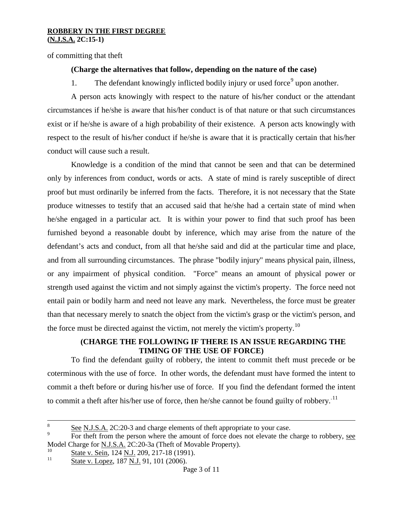of committing that theft

## **(Charge the alternatives that follow, depending on the nature of the case)**

1. The defendant knowingly inflicted bodily injury or used force upon another.

A person acts knowingly with respect to the nature of his/her conduct or the attendant circumstances if he/she is aware that his/her conduct is of that nature or that such circumstances exist or if he/she is aware of a high probability of their existence. A person acts knowingly with respect to the result of his/her conduct if he/she is aware that it is practically certain that his/her conduct will cause such a result.

Knowledge is a condition of the mind that cannot be seen and that can be determined only by inferences from conduct, words or acts. A state of mind is rarely susceptible of direct proof but must ordinarily be inferred from the facts. Therefore, it is not necessary that the State produce witnesses to testify that an accused said that he/she had a certain state of mind when he/she engaged in a particular act. It is within your power to find that such proof has been furnished beyond a reasonable doubt by inference, which may arise from the nature of the defendant's acts and conduct, from all that he/she said and did at the particular time and place, and from all surrounding circumstances. The phrase "bodily injury" means physical pain, illness, or any impairment of physical condition. "Force" means an amount of physical power or strength used against the victim and not simply against the victim's property. The force need not entail pain or bodily harm and need not leave any mark. Nevertheless, the force must be greater than that necessary merely to snatch the object from the victim's grasp or the victim's person, and the force must be directed against the victim, not merely the victim's property.<sup>[10](#page-2-0)</sup>

## **(CHARGE THE FOLLOWING IF THERE IS AN ISSUE REGARDING THE TIMING OF THE USE OF FORCE)**

To find the defendant guilty of robbery, the intent to commit theft must precede or be coterminous with the use of force. In other words, the defendant must have formed the intent to commit a theft before or during his/her use of force. If you find the defendant formed the intent to commit a theft after his/her use of force, then he/she cannot be found guilty of robbery.<sup>[11](#page-2-1)</sup>

<span id="page-2-1"></span><span id="page-2-0"></span> $\frac{10}{11}$  State v. Sein, 124 <u>N.J.</u> 209, 217-18 (1991).

<span id="page-2-2"></span><sup>&</sup>lt;sup>8</sup> See N.J.S.A. 2C:20-3 and charge elements of theft appropriate to your case.

For theft from the person where the amount of force does not elevate the charge to robbery, see Model Charge for N.J.S.A. 2C:20-3a (Theft of Movable Property).

State v. Lopez, 187 N.J. 91, 101 (2006).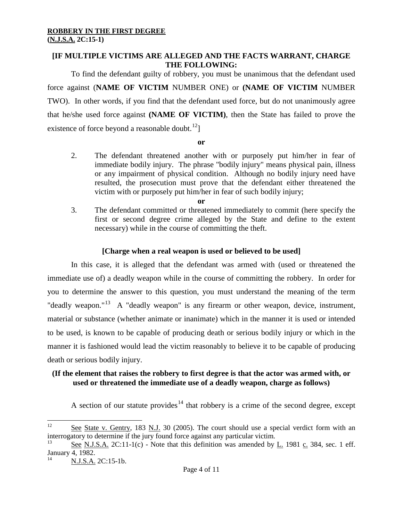## **[IF MULTIPLE VICTIMS ARE ALLEGED AND THE FACTS WARRANT, CHARGE THE FOLLOWING:**

To find the defendant guilty of robbery, you must be unanimous that the defendant used force against (**NAME OF VICTIM** NUMBER ONE) or **(NAME OF VICTIM** NUMBER TWO). In other words, if you find that the defendant used force, but do not unanimously agree that he/she used force against **(NAME OF VICTIM)**, then the State has failed to prove the existence of force beyond a reasonable doubt.<sup>[12](#page-2-2)</sup>]

**or**

2. The defendant threatened another with or purposely put him/her in fear of immediate bodily injury. The phrase "bodily injury" means physical pain, illness or any impairment of physical condition. Although no bodily injury need have resulted, the prosecution must prove that the defendant either threatened the victim with or purposely put him/her in fear of such bodily injury;

**or**

3. The defendant committed or threatened immediately to commit (here specify the first or second degree crime alleged by the State and define to the extent necessary) while in the course of committing the theft.

# **[Charge when a real weapon is used or believed to be used]**

In this case, it is alleged that the defendant was armed with (used or threatened the immediate use of) a deadly weapon while in the course of committing the robbery. In order for you to determine the answer to this question, you must understand the meaning of the term "deadly weapon."<sup>13</sup> A "deadly weapon" is any firearm or other weapon, device, instrument, material or substance (whether animate or inanimate) which in the manner it is used or intended to be used, is known to be capable of producing death or serious bodily injury or which in the manner it is fashioned would lead the victim reasonably to believe it to be capable of producing death or serious bodily injury.

# **(If the element that raises the robbery to first degree is that the actor was armed with, or used or threatened the immediate use of a deadly weapon, charge as follows)**

A section of our statute provides<sup>[14](#page-3-1)</sup> that robbery is a crime of the second degree, except

<sup>&</sup>lt;sup>12</sup> See State v. Gentry, 183 N.J. 30 (2005). The court should use a special verdict form with an interrogatory to determine if the jury found force against any particular victim.

<span id="page-3-2"></span><span id="page-3-0"></span>See N.J.S.A. 2C:11-1(c) - Note that this definition was amended by L. 1981 c. 384, sec. 1 eff. January 4, 1982.

<span id="page-3-1"></span>N.J.S.A. 2C:15-1b.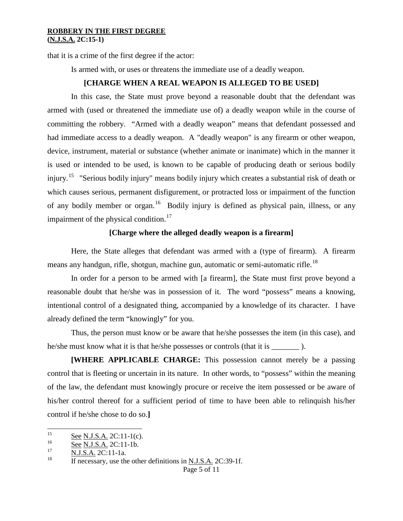that it is a crime of the first degree if the actor:

Is armed with, or uses or threatens the immediate use of a deadly weapon.

### **[CHARGE WHEN A REAL WEAPON IS ALLEGED TO BE USED]**

In this case, the State must prove beyond a reasonable doubt that the defendant was armed with (used or threatened the immediate use of) a deadly weapon while in the course of committing the robbery. "Armed with a deadly weapon" means that defendant possessed and had immediate access to a deadly weapon. A "deadly weapon" is any firearm or other weapon, device, instrument, material or substance (whether animate or inanimate) which in the manner it is used or intended to be used, is known to be capable of producing death or serious bodily injury.[15](#page-3-2) "Serious bodily injury" means bodily injury which creates a substantial risk of death or which causes serious, permanent disfigurement, or protracted loss or impairment of the function of any bodily member or organ.<sup>16</sup> Bodily injury is defined as physical pain, illness, or any impairment of the physical condition. $17$ 

### **[Charge where the alleged deadly weapon is a firearm]**

Here, the State alleges that defendant was armed with a (type of firearm). A firearm means any handgun, rifle, shotgun, machine gun, automatic or semi-automatic rifle.<sup>[18](#page-4-2)</sup>

In order for a person to be armed with [a firearm], the State must first prove beyond a reasonable doubt that he/she was in possession of it. The word "possess" means a knowing, intentional control of a designated thing, accompanied by a knowledge of its character. I have already defined the term "knowingly" for you.

Thus, the person must know or be aware that he/she possesses the item (in this case), and he/she must know what it is that he/she possesses or controls (that it is \_\_\_\_\_\_\_ ).

**[WHERE APPLICABLE CHARGE:** This possession cannot merely be a passing control that is fleeting or uncertain in its nature. In other words, to "possess" within the meaning of the law, the defendant must knowingly procure or receive the item possessed or be aware of his/her control thereof for a sufficient period of time to have been able to relinquish his/her control if he/she chose to do so.**]**

<sup>&</sup>lt;sup>15</sup> See N.J.S.A. 2C:11-1(c).

<span id="page-4-0"></span> $\frac{16}{17}$  See N.J.S.A. 2C:11-1b.

<span id="page-4-1"></span> $\frac{N.J.S.A.}{H}$  2C:11-1a.

<span id="page-4-2"></span>If necessary, use the other definitions in N.J.S.A. 2C:39-1f.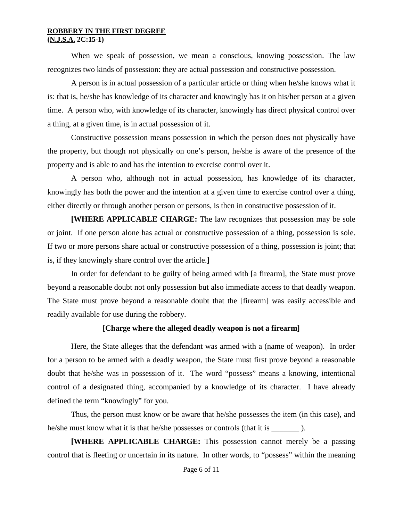When we speak of possession, we mean a conscious, knowing possession. The law recognizes two kinds of possession: they are actual possession and constructive possession.

A person is in actual possession of a particular article or thing when he/she knows what it is: that is, he/she has knowledge of its character and knowingly has it on his/her person at a given time. A person who, with knowledge of its character, knowingly has direct physical control over a thing, at a given time, is in actual possession of it.

Constructive possession means possession in which the person does not physically have the property, but though not physically on one's person, he/she is aware of the presence of the property and is able to and has the intention to exercise control over it.

A person who, although not in actual possession, has knowledge of its character, knowingly has both the power and the intention at a given time to exercise control over a thing, either directly or through another person or persons, is then in constructive possession of it.

**[WHERE APPLICABLE CHARGE:** The law recognizes that possession may be sole or joint. If one person alone has actual or constructive possession of a thing, possession is sole. If two or more persons share actual or constructive possession of a thing, possession is joint; that is, if they knowingly share control over the article.**]**

In order for defendant to be guilty of being armed with [a firearm], the State must prove beyond a reasonable doubt not only possession but also immediate access to that deadly weapon. The State must prove beyond a reasonable doubt that the [firearm] was easily accessible and readily available for use during the robbery.

### **[Charge where the alleged deadly weapon is not a firearm]**

<span id="page-5-0"></span>Here, the State alleges that the defendant was armed with a (name of weapon). In order for a person to be armed with a deadly weapon, the State must first prove beyond a reasonable doubt that he/she was in possession of it. The word "possess" means a knowing, intentional control of a designated thing, accompanied by a knowledge of its character. I have already defined the term "knowingly" for you.

Thus, the person must know or be aware that he/she possesses the item (in this case), and he/she must know what it is that he/she possesses or controls (that it is \_\_\_\_\_\_\_ ).

**[WHERE APPLICABLE CHARGE:** This possession cannot merely be a passing control that is fleeting or uncertain in its nature. In other words, to "possess" within the meaning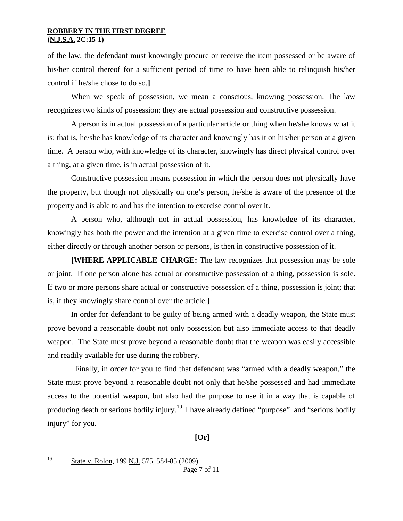of the law, the defendant must knowingly procure or receive the item possessed or be aware of his/her control thereof for a sufficient period of time to have been able to relinquish his/her control if he/she chose to do so.**]**

When we speak of possession, we mean a conscious, knowing possession. The law recognizes two kinds of possession: they are actual possession and constructive possession.

A person is in actual possession of a particular article or thing when he/she knows what it is: that is, he/she has knowledge of its character and knowingly has it on his/her person at a given time. A person who, with knowledge of its character, knowingly has direct physical control over a thing, at a given time, is in actual possession of it.

Constructive possession means possession in which the person does not physically have the property, but though not physically on one's person, he/she is aware of the presence of the property and is able to and has the intention to exercise control over it.

A person who, although not in actual possession, has knowledge of its character, knowingly has both the power and the intention at a given time to exercise control over a thing, either directly or through another person or persons, is then in constructive possession of it.

**[WHERE APPLICABLE CHARGE:** The law recognizes that possession may be sole or joint. If one person alone has actual or constructive possession of a thing, possession is sole. If two or more persons share actual or constructive possession of a thing, possession is joint; that is, if they knowingly share control over the article.**]**

In order for defendant to be guilty of being armed with a deadly weapon, the State must prove beyond a reasonable doubt not only possession but also immediate access to that deadly weapon. The State must prove beyond a reasonable doubt that the weapon was easily accessible and readily available for use during the robbery.

<span id="page-6-0"></span> Finally, in order for you to find that defendant was "armed with a deadly weapon," the State must prove beyond a reasonable doubt not only that he/she possessed and had immediate access to the potential weapon, but also had the purpose to use it in a way that is capable of producing death or serious bodily injury.<sup>[19](#page-4-2)</sup> I have already defined "purpose" and "serious bodily injury" for you.

## **[Or]**

 <sup>19</sup> State v. Rolon, 199 N.J. 575, 584-85 (2009).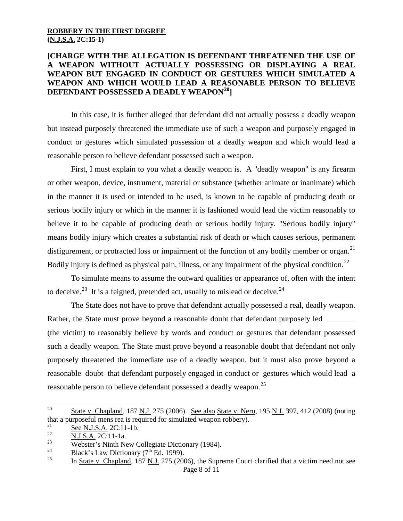## **[CHARGE WITH THE ALLEGATION IS DEFENDANT THREATENED THE USE OF A WEAPON WITHOUT ACTUALLY POSSESSING OR DISPLAYING A REAL WEAPON BUT ENGAGED IN CONDUCT OR GESTURES WHICH SIMULATED A WEAPON AND WHICH WOULD LEAD A REASONABLE PERSON TO BELIEVE DEFENDANT POSSESSED A DEADLY WEAPON[20\]](#page-6-0)**

In this case, it is further alleged that defendant did not actually possess a deadly weapon but instead purposely threatened the immediate use of such a weapon and purposely engaged in conduct or gestures which simulated possession of a deadly weapon and which would lead a reasonable person to believe defendant possessed such a weapon.

First, I must explain to you what a deadly weapon is. A "deadly weapon" is any firearm or other weapon, device, instrument, material or substance (whether animate or inanimate) which in the manner it is used or intended to be used, is known to be capable of producing death or serious bodily injury or which in the manner it is fashioned would lead the victim reasonably to believe it to be capable of producing death or serious bodily injury. "Serious bodily injury" means bodily injury which creates a substantial risk of death or which causes serious, permanent disfigurement, or protracted loss or impairment of the function of any bodily member or organ.<sup>[21](#page-7-0)</sup> Bodily injury is defined as physical pain, illness, or any impairment of the physical condition.<sup>[22](#page-7-1)</sup>

To simulate means to assume the outward qualities or appearance of, often with the intent to deceive.<sup>23</sup> It is a feigned, pretended act, usually to mislead or deceive.<sup>[24](#page-7-3)</sup>

The State does not have to prove that defendant actually possessed a real, deadly weapon. Rather, the State must prove beyond a reasonable doubt that defendant purposely led (the victim) to reasonably believe by words and conduct or gestures that defendant possessed such a deadly weapon. The State must prove beyond a reasonable doubt that defendant not only purposely threatened the immediate use of a deadly weapon, but it must also prove beyond a reasonable doubt that defendant purposely engaged in conduct or gestures which would lead a reasonable person to believe defendant possessed a deadly weapon.<sup>[25](#page-7-4)</sup>

<sup>&</sup>lt;sup>20</sup> State v. Chapland, 187 N.J. 275 (2006). See also State v. Nero, 195 N.J. 397, 412 (2008) (noting that a purposeful <u>mens rea</u> is required for simulated weapon robbery).

<span id="page-7-0"></span> $\frac{21}{22}$  See N.J.S.A. 2C:11-1b.

<span id="page-7-1"></span> $\frac{22}{23}$  N.J.S.A. 2C:11-1a.

<span id="page-7-2"></span><sup>&</sup>lt;sup>23</sup><br>Webster's Ninth New Collegiate Dictionary (1984).

<span id="page-7-3"></span><sup>&</sup>lt;sup>24</sup> Black's Law Dictionary (7<sup>th</sup> Ed. 1999).<br><sup>25</sup> In State v. Chapland, 187 N J, 275 (200

<span id="page-7-4"></span>Page 8 of 11 <sup>25</sup> In State v. Chapland, 187 N.J. 275 (2006), the Supreme Court clarified that a victim need not see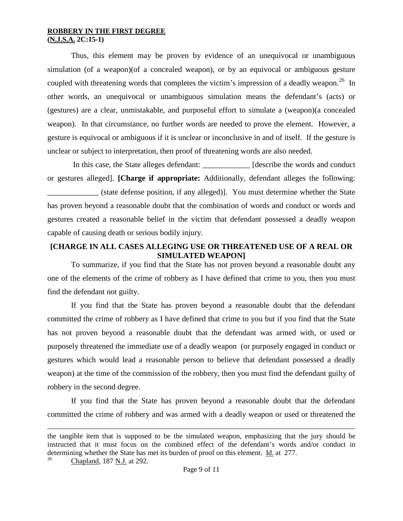Thus, this element may be proven by evidence of an unequivocal or unambiguous simulation (of a weapon)(of a concealed weapon), or by an equivocal or ambiguous gesture coupled with threatening words that completes the victim's impression of a deadly weapon.<sup>[26](#page-7-4)</sup> In other words, an unequivocal or unambiguous simulation means the defendant's (acts) or (gestures) are a clear, unmistakable, and purposeful effort to simulate a (weapon)(a concealed weapon). In that circumstance, no further words are needed to prove the element. However, a gesture is equivocal or ambiguous if it is unclear or inconclusive in and of itself. If the gesture is unclear or subject to interpretation, then proof of threatening words are also needed.

In this case, the State alleges defendant: \_\_\_\_\_\_\_\_\_\_\_\_\_ [describe the words and conduct or gestures alleged]. **[Charge if appropriate:** Additionally, defendant alleges the following: \_\_\_\_\_\_\_\_\_\_\_\_\_ (state defense position, if any alleged)]. You must determine whether the State has proven beyond a reasonable doubt that the combination of words and conduct or words and gestures created a reasonable belief in the victim that defendant possessed a deadly weapon capable of causing death or serious bodily injury.

## **[CHARGE IN ALL CASES ALLEGING USE OR THREATENED USE OF A REAL OR SIMULATED WEAPON]**

To summarize, if you find that the State has not proven beyond a reasonable doubt any one of the elements of the crime of robbery as I have defined that crime to you, then you must find the defendant not guilty.

If you find that the State has proven beyond a reasonable doubt that the defendant committed the crime of robbery as I have defined that crime to you but if you find that the State has not proven beyond a reasonable doubt that the defendant was armed with, or used or purposely threatened the immediate use of a deadly weapon (or purposely engaged in conduct or gestures which would lead a reasonable person to believe that defendant possessed a deadly weapon) at the time of the commission of the robbery, then you must find the defendant guilty of robbery in the second degree.

If you find that the State has proven beyond a reasonable doubt that the defendant committed the crime of robbery and was armed with a deadly weapon or used or threatened the

 $\overline{a}$ 

<span id="page-8-0"></span>the tangible item that is supposed to be the simulated weapon, emphasizing that the jury should be instructed that it must focus on the combined effect of the defendant's words and/or conduct in determining whether the State has met its burden of proof on this element.  $\underline{Id}$  at 277.

<sup>26</sup> Chapland, 187 N.J. at 292.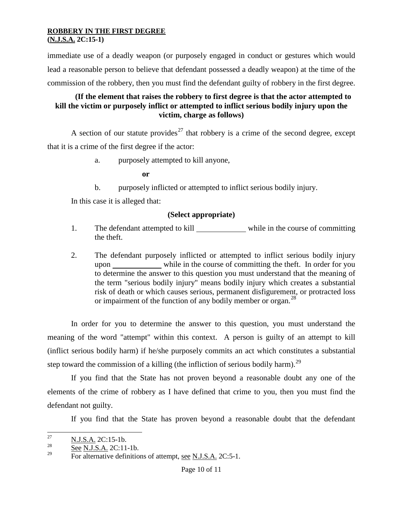immediate use of a deadly weapon (or purposely engaged in conduct or gestures which would lead a reasonable person to believe that defendant possessed a deadly weapon) at the time of the commission of the robbery, then you must find the defendant guilty of robbery in the first degree.

## **(If the element that raises the robbery to first degree is that the actor attempted to kill the victim or purposely inflict or attempted to inflict serious bodily injury upon the victim, charge as follows)**

A section of our statute provides<sup>[27](#page-8-0)</sup> that robbery is a crime of the second degree, except that it is a crime of the first degree if the actor:

a. purposely attempted to kill anyone,

**or**

b. purposely inflicted or attempted to inflict serious bodily injury.

In this case it is alleged that:

## **(Select appropriate)**

- 1. The defendant attempted to kill while in the course of committing the theft.
- 2. The defendant purposely inflicted or attempted to inflict serious bodily injury upon while in the course of committing the theft. In order for you to determine the answer to this question you must understand that the meaning of the term "serious bodily injury" means bodily injury which creates a substantial risk of death or which causes serious, permanent disfigurement, or protracted loss or impairment of the function of any bodily member or organ.<sup>[28](#page-9-0)</sup>

In order for you to determine the answer to this question, you must understand the meaning of the word "attempt" within this context. A person is guilty of an attempt to kill (inflict serious bodily harm) if he/she purposely commits an act which constitutes a substantial step toward the commission of a killing (the infliction of serious bodily harm).<sup>[29](#page-9-1)</sup>

If you find that the State has not proven beyond a reasonable doubt any one of the elements of the crime of robbery as I have defined that crime to you, then you must find the defendant not guilty.

If you find that the State has proven beyond a reasonable doubt that the defendant

 $\frac{27}{28}$  N.J.S.A. 2C:15-1b.

<span id="page-9-1"></span><span id="page-9-0"></span> $\frac{28}{29}$  See N.J.S.A. 2C:11-1b.

For alternative definitions of attempt, see N.J.S.A. 2C:5-1.